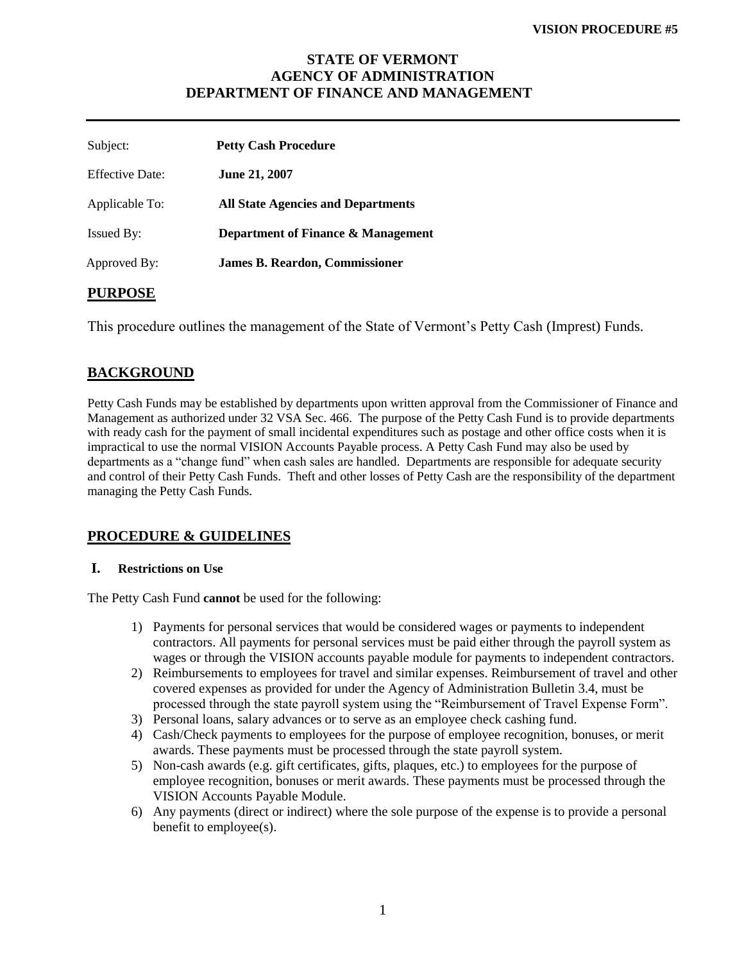# **STATE OF VERMONT AGENCY OF ADMINISTRATION DEPARTMENT OF FINANCE AND MANAGEMENT**

| Subject:               | <b>Petty Cash Procedure</b>               |
|------------------------|-------------------------------------------|
| <b>Effective Date:</b> | <b>June 21, 2007</b>                      |
| Applicable To:         | <b>All State Agencies and Departments</b> |
| <b>Issued By:</b>      | Department of Finance & Management        |
| Approved By:           | <b>James B. Reardon, Commissioner</b>     |
|                        |                                           |

### **PURPOSE**

This procedure outlines the management of the State of Vermont's Petty Cash (Imprest) Funds.

# **BACKGROUND**

Petty Cash Funds may be established by departments upon written approval from the Commissioner of Finance and Management as authorized under 32 VSA Sec. 466. The purpose of the Petty Cash Fund is to provide departments with ready cash for the payment of small incidental expenditures such as postage and other office costs when it is impractical to use the normal VISION Accounts Payable process. A Petty Cash Fund may also be used by departments as a "change fund" when cash sales are handled. Departments are responsible for adequate security and control of their Petty Cash Funds. Theft and other losses of Petty Cash are the responsibility of the department managing the Petty Cash Funds.

## **PROCEDURE & GUIDELINES**

#### **I. Restrictions on Use**

The Petty Cash Fund **cannot** be used for the following:

- 1) Payments for personal services that would be considered wages or payments to independent contractors. All payments for personal services must be paid either through the payroll system as wages or through the VISION accounts payable module for payments to independent contractors.
- 2) Reimbursements to employees for travel and similar expenses. Reimbursement of travel and other covered expenses as provided for under the Agency of Administration Bulletin 3.4, must be processed through the state payroll system using the "Reimbursement of Travel Expense Form".
- 3) Personal loans, salary advances or to serve as an employee check cashing fund.
- 4) Cash/Check payments to employees for the purpose of employee recognition, bonuses, or merit awards. These payments must be processed through the state payroll system.
- 5) Non-cash awards (e.g. gift certificates, gifts, plaques, etc.) to employees for the purpose of employee recognition, bonuses or merit awards. These payments must be processed through the VISION Accounts Payable Module.
- 6) Any payments (direct or indirect) where the sole purpose of the expense is to provide a personal benefit to employee(s).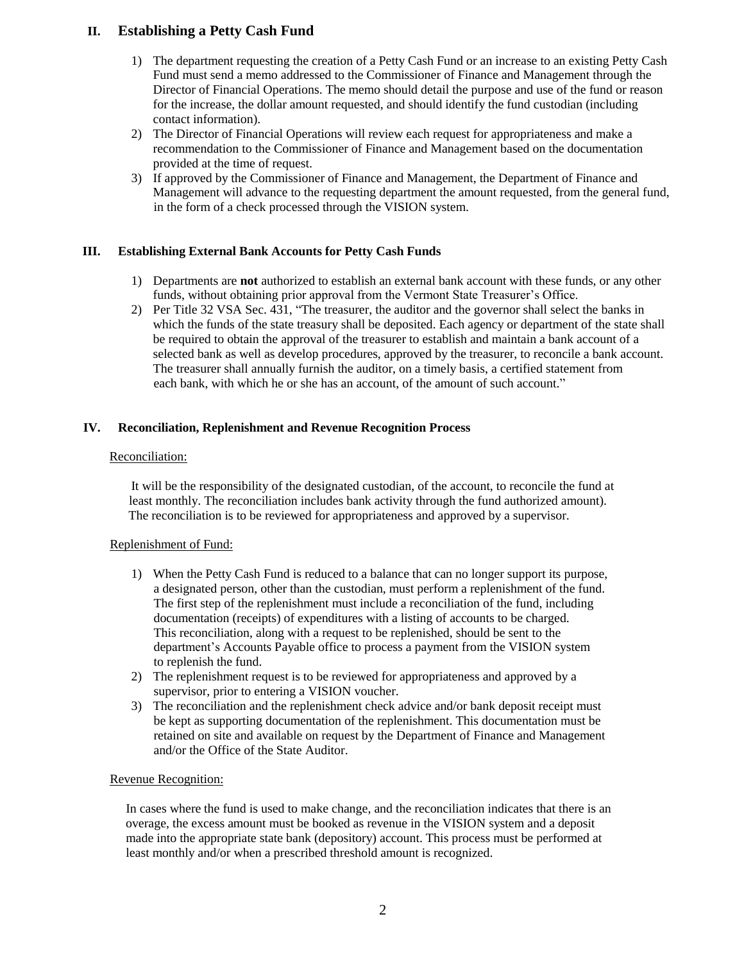# **II. Establishing a Petty Cash Fund**

- 1) The department requesting the creation of a Petty Cash Fund or an increase to an existing Petty Cash Fund must send a memo addressed to the Commissioner of Finance and Management through the Director of Financial Operations. The memo should detail the purpose and use of the fund or reason for the increase, the dollar amount requested, and should identify the fund custodian (including contact information).
- 2) The Director of Financial Operations will review each request for appropriateness and make a recommendation to the Commissioner of Finance and Management based on the documentation provided at the time of request.
- 3) If approved by the Commissioner of Finance and Management, the Department of Finance and Management will advance to the requesting department the amount requested, from the general fund, in the form of a check processed through the VISION system.

#### **III. Establishing External Bank Accounts for Petty Cash Funds**

- 1) Departments are **not** authorized to establish an external bank account with these funds, or any other funds, without obtaining prior approval from the Vermont State Treasurer's Office.
- 2) Per Title 32 VSA Sec. 431, "The treasurer, the auditor and the governor shall select the banks in which the funds of the state treasury shall be deposited. Each agency or department of the state shall be required to obtain the approval of the treasurer to establish and maintain a bank account of a selected bank as well as develop procedures, approved by the treasurer, to reconcile a bank account. The treasurer shall annually furnish the auditor, on a timely basis, a certified statement from each bank, with which he or she has an account, of the amount of such account."

### **IV. Reconciliation, Replenishment and Revenue Recognition Process**

#### Reconciliation:

It will be the responsibility of the designated custodian, of the account, to reconcile the fund at least monthly. The reconciliation includes bank activity through the fund authorized amount). The reconciliation is to be reviewed for appropriateness and approved by a supervisor.

#### Replenishment of Fund:

- 1) When the Petty Cash Fund is reduced to a balance that can no longer support its purpose, a designated person, other than the custodian, must perform a replenishment of the fund. The first step of the replenishment must include a reconciliation of the fund, including documentation (receipts) of expenditures with a listing of accounts to be charged. This reconciliation, along with a request to be replenished, should be sent to the department's Accounts Payable office to process a payment from the VISION system to replenish the fund.
- 2) The replenishment request is to be reviewed for appropriateness and approved by a supervisor, prior to entering a VISION voucher.
- 3) The reconciliation and the replenishment check advice and/or bank deposit receipt must be kept as supporting documentation of the replenishment. This documentation must be retained on site and available on request by the Department of Finance and Management and/or the Office of the State Auditor.

#### Revenue Recognition:

 In cases where the fund is used to make change, and the reconciliation indicates that there is an overage, the excess amount must be booked as revenue in the VISION system and a deposit made into the appropriate state bank (depository) account. This process must be performed at least monthly and/or when a prescribed threshold amount is recognized.